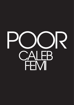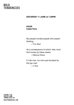### **SATURDAY 11 JUNE at 7.30PM**

## **POOR Caleb Femi**

*My people humble people who expect Nothing.* —T.S. Eliot

*As a consequence of which, they must find money by these means* —Darcus Howe

*If I die now, my mum got bumped by the juju man* —J Hus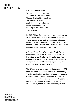It is right it should be so We were made for Joy & Woe And when this we rightly know Through the World we safely go Joy & Woe are woven fine A Clothing for the soul divine Under every grief & pine Runs a joy with silken twine... —William Blake

In 1765 William Blake had his first vision, out walking as a child on Peckham Rye, recording 'a tree filled with angels, bright angelic wings bespangling every bough'. Two miles away and 174 years later in 1969 the forty-acre North Peckham Estate was built, where poet and director Caleb Femi grew up.

A former Young People's Laureate, Caleb Femi's debut poetry collection POOR was published by Penguin and won the Forward Prize for Best First Collection (2021). POOR is his ode to a troubled yet enchanted world and tonight he is presenting this revelatory work live for the first time.

The 57 poems in seven sections that make up POOR address what life and living feels like — confronting the city, celebrating its neighbourhoods and peoples, exploring its histories and mysteries — buildings, communities, mythologies, realities... Joyful, sorrowful and glorious the poems of POOR are visionary: at-once visual, formal, musical, and unforgettable.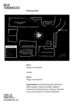#### **Running Order**



**Part 1** Songs of Innocence

Interval

#### **Part 2**

Songs of Experience

**Huge thanks to** Charlotte Morgan-Nwokenna, Dillon Kalyabe, Dahmicca Wright, Matthew Hutchinson & Donald Futers at Penguin Random House, David Brett at The Word Bookshop.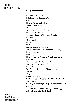#### **Songs of Innocence**

Because of the Times Painting on the Concrete Wall **Community** How to Pronounce Peckham Things I Have Stolen 13 Two Bodies Caught in One Cell Honeytrap & Likkle Bwoi Collective Noun – A Play by an Onlooker **Patrilineal** Gentle Youth **Barter Chirpse** Ode to South Ldn Gyaldem The Book of the Generation of Peckham Boys Boys in Hoodies Flowering Here Too Spring Comes to Us with Open Arms Mandem The Moon Gave No Names to Tides The First Time You Hold a Gun Repress Two Seconds Before the Trigger is Pulled The Six Cold East Dulwich Road While the Pastor Preached about Hell, His Son Was Texting Girls Contrary to Rap Songs a Trap House is not All Glitter & Money & If There Is no Other Way Long Live the Jugg A Slow History of a Quick Death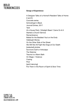#### **Songs of Experience**

A Designer Talks of a Home/A Resident Talks of Home (I and II) Concrete series Schrodinger's Black Journal Entries, 2017 Yard At a House Party 'Ultralight Beam' Came On & It Started a Church Service Remembrance Ballad for the Baddest Yout on the Endz Hallelujah Money On the Other Side of the Street We Will Not All Fight like Dogs at Our Death [redacted] phobia Survivors Guilt or Anikulapo The Watcher Trauma is a Warm Bath On Magic / Violence Coping Poor [spirit dancing] Put Them in the Room of Spirit & Slow Time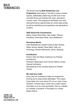#### The award-winning **Bold Tendencies Live**

**Programme** takes place in the site's unique covered spaces, deliberately preserving 42,000 sq ft of raw concrete floors and ceilings with open, panoramic London views. The programme facilitates new work and performance opportunities for world-class artists, as well as identifying and supporting new generations of talent.

#### **2022 Visual Arts Commissions**

Martin Creed, Rhea Dillon, Nan Goldin, Paloma Proudfoot, Dominique White, Gray Wielebinski.

#### **Permanent Works**

Adel Abdessemed, Sophie Collins & Sam Riviere, Derek Jarman Garden, Rene Matić, Siân Lyn Hutchings, Richard Wentworth, Simon Whybray.

#### **Architecture**

Frank's Cafe and Straw Auditorium by Practice Architecture.

Peckham Observatory and Concert Wall by Cooke Fawcett Architects.

Remastering of the Covered Spaces by Feilden Fowles.

#### **We need your help!**

Every year we fundraise to keep our programme thriving and to keep tickets affordable. This means ticket sales only cover about 5% of our costs. Every donation, however big or small, has a major impact and helps us to do more and better. Visit our website to Consider a donation or Purchase our Limited Edition Merch.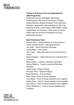#### **Thanks to Everyone who has Supported the 2022 Programme**

Southwark Council, Selfridges. Bloomberg Philanthropies, Big Issue Invest Access, Phillips, Outset Partners, Genesis Kickstart Fund, Morrisons Peckham, Vanguardia, d&b audiotechnik, J&C Joel, Steinway & Sons, Locke Hotels, CMS-CMNO, Hallett Independent Art Insurance, Think Smart Accounts, White Light and all those individuals who have generously donated.

#### **Bold Tendencies Team**

Hannah Barry - Artistic Director & Chief Executive Diana Córdoba Barrios - Managing Director Tom Kelly - Site & Production Manager Charlie Mills - Artist Liaison Toby Taylor - Visitor Services & Live Events Front of House Katrina Nzegwu - Visitor Services & Live Events Front of House Misty Ingham - Creative Learning Coordinator Akhera Williams - Creative Learning Workshop Assistant Supermodel – Graphic Design Riccardo Pillon - Special Projects Boaz Friedman - Front of House Mitzi Clarke - Back of House Assistant Fran Barker - Front of House Assistant and Invigilator Deyka Waris - Front of House Assistant and Invigilator Kaya Varma - Front of House Assistant and Invigilator Esme Wedderburn - Front of House Assistant and Invigilator